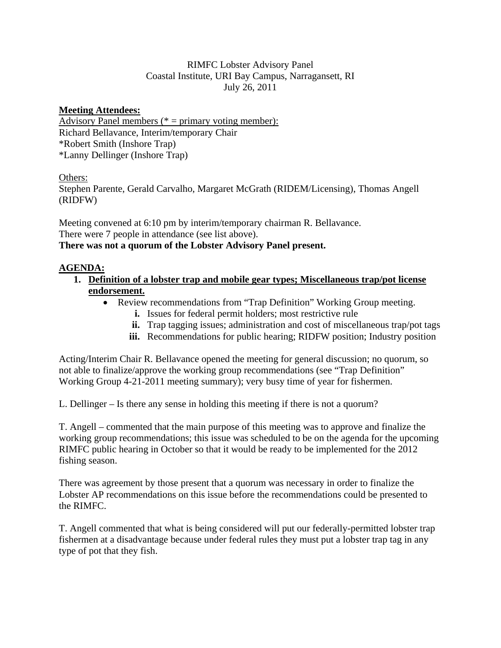# RIMFC Lobster Advisory Panel Coastal Institute, URI Bay Campus, Narragansett, RI July 26, 2011

## **Meeting Attendees:**

Advisory Panel members ( $* =$  primary voting member): Richard Bellavance, Interim/temporary Chair \*Robert Smith (Inshore Trap) \*Lanny Dellinger (Inshore Trap)

### Others:

Stephen Parente, Gerald Carvalho, Margaret McGrath (RIDEM/Licensing), Thomas Angell (RIDFW)

Meeting convened at 6:10 pm by interim/temporary chairman R. Bellavance. There were 7 people in attendance (see list above). **There was not a quorum of the Lobster Advisory Panel present.** 

# **AGENDA:**

- **1. Definition of a lobster trap and mobile gear types; Miscellaneous trap/pot license endorsement.**
	- Review recommendations from "Trap Definition" Working Group meeting.
		- **i.** Issues for federal permit holders; most restrictive rule
		- **ii.** Trap tagging issues; administration and cost of miscellaneous trap/pot tags
		- **iii.** Recommendations for public hearing; RIDFW position; Industry position

Acting/Interim Chair R. Bellavance opened the meeting for general discussion; no quorum, so not able to finalize/approve the working group recommendations (see "Trap Definition" Working Group 4-21-2011 meeting summary); very busy time of year for fishermen.

L. Dellinger – Is there any sense in holding this meeting if there is not a quorum?

T. Angell – commented that the main purpose of this meeting was to approve and finalize the working group recommendations; this issue was scheduled to be on the agenda for the upcoming RIMFC public hearing in October so that it would be ready to be implemented for the 2012 fishing season.

There was agreement by those present that a quorum was necessary in order to finalize the Lobster AP recommendations on this issue before the recommendations could be presented to the RIMFC.

T. Angell commented that what is being considered will put our federally-permitted lobster trap fishermen at a disadvantage because under federal rules they must put a lobster trap tag in any type of pot that they fish.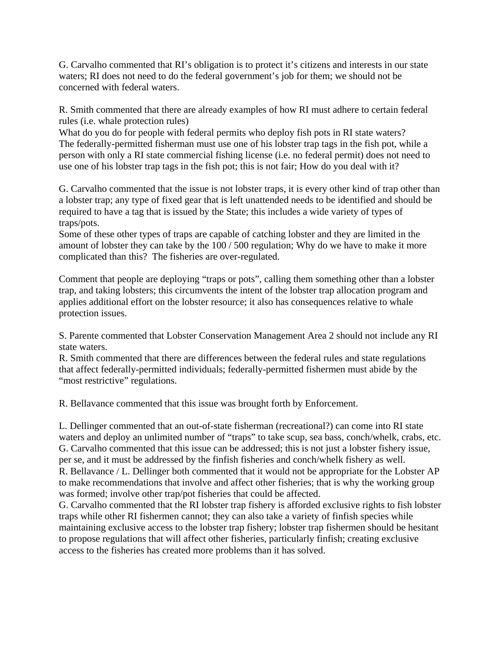G. Carvalho commented that RI's obligation is to protect it's citizens and interests in our state waters; RI does not need to do the federal government's job for them; we should not be concerned with federal waters.

R. Smith commented that there are already examples of how RI must adhere to certain federal rules (i.e. whale protection rules)

What do you do for people with federal permits who deploy fish pots in RI state waters? The federally-permitted fisherman must use one of his lobster trap tags in the fish pot, while a person with only a RI state commercial fishing license (i.e. no federal permit) does not need to use one of his lobster trap tags in the fish pot; this is not fair; How do you deal with it?

G. Carvalho commented that the issue is not lobster traps, it is every other kind of trap other than a lobster trap; any type of fixed gear that is left unattended needs to be identified and should be required to have a tag that is issued by the State; this includes a wide variety of types of traps/pots.

Some of these other types of traps are capable of catching lobster and they are limited in the amount of lobster they can take by the 100 / 500 regulation; Why do we have to make it more complicated than this? The fisheries are over-regulated.

Comment that people are deploying "traps or pots", calling them something other than a lobster trap, and taking lobsters; this circumvents the intent of the lobster trap allocation program and applies additional effort on the lobster resource; it also has consequences relative to whale protection issues.

S. Parente commented that Lobster Conservation Management Area 2 should not include any RI state waters.

R. Smith commented that there are differences between the federal rules and state regulations that affect federally-permitted individuals; federally-permitted fishermen must abide by the "most restrictive" regulations.

R. Bellavance commented that this issue was brought forth by Enforcement.

L. Dellinger commented that an out-of-state fisherman (recreational?) can come into RI state waters and deploy an unlimited number of "traps" to take scup, sea bass, conch/whelk, crabs, etc. G. Carvalho commented that this issue can be addressed; this is not just a lobster fishery issue, per se, and it must be addressed by the finfish fisheries and conch/whelk fishery as well. R. Bellavance / L. Dellinger both commented that it would not be appropriate for the Lobster AP to make recommendations that involve and affect other fisheries; that is why the working group was formed; involve other trap/pot fisheries that could be affected.

G. Carvalho commented that the RI lobster trap fishery is afforded exclusive rights to fish lobster traps while other RI fishermen cannot; they can also take a variety of finfish species while maintaining exclusive access to the lobster trap fishery; lobster trap fishermen should be hesitant to propose regulations that will affect other fisheries, particularly finfish; creating exclusive access to the fisheries has created more problems than it has solved.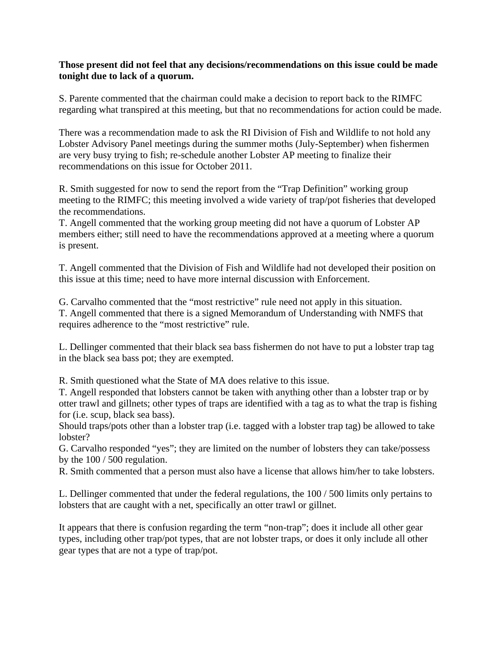#### **Those present did not feel that any decisions/recommendations on this issue could be made tonight due to lack of a quorum.**

S. Parente commented that the chairman could make a decision to report back to the RIMFC regarding what transpired at this meeting, but that no recommendations for action could be made.

There was a recommendation made to ask the RI Division of Fish and Wildlife to not hold any Lobster Advisory Panel meetings during the summer moths (July-September) when fishermen are very busy trying to fish; re-schedule another Lobster AP meeting to finalize their recommendations on this issue for October 2011.

R. Smith suggested for now to send the report from the "Trap Definition" working group meeting to the RIMFC; this meeting involved a wide variety of trap/pot fisheries that developed the recommendations.

T. Angell commented that the working group meeting did not have a quorum of Lobster AP members either; still need to have the recommendations approved at a meeting where a quorum is present.

T. Angell commented that the Division of Fish and Wildlife had not developed their position on this issue at this time; need to have more internal discussion with Enforcement.

G. Carvalho commented that the "most restrictive" rule need not apply in this situation. T. Angell commented that there is a signed Memorandum of Understanding with NMFS that requires adherence to the "most restrictive" rule.

L. Dellinger commented that their black sea bass fishermen do not have to put a lobster trap tag in the black sea bass pot; they are exempted.

R. Smith questioned what the State of MA does relative to this issue.

T. Angell responded that lobsters cannot be taken with anything other than a lobster trap or by otter trawl and gillnets; other types of traps are identified with a tag as to what the trap is fishing for (i.e. scup, black sea bass).

Should traps/pots other than a lobster trap (i.e. tagged with a lobster trap tag) be allowed to take lobster?

G. Carvalho responded "yes"; they are limited on the number of lobsters they can take/possess by the 100 / 500 regulation.

R. Smith commented that a person must also have a license that allows him/her to take lobsters.

L. Dellinger commented that under the federal regulations, the 100 / 500 limits only pertains to lobsters that are caught with a net, specifically an otter trawl or gillnet.

It appears that there is confusion regarding the term "non-trap"; does it include all other gear types, including other trap/pot types, that are not lobster traps, or does it only include all other gear types that are not a type of trap/pot.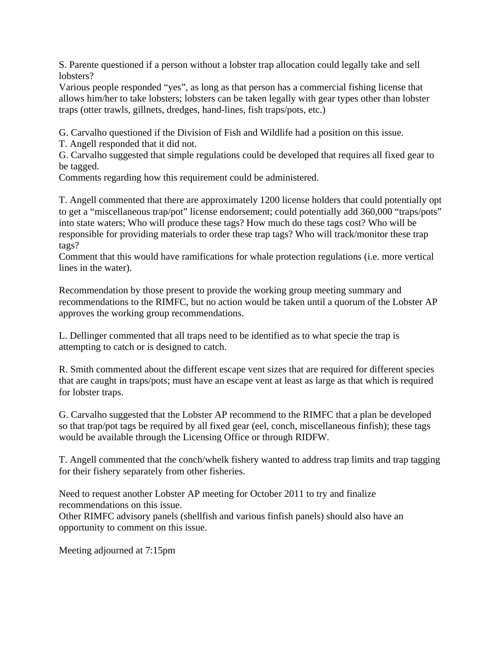S. Parente questioned if a person without a lobster trap allocation could legally take and sell lobsters?

Various people responded "yes", as long as that person has a commercial fishing license that allows him/her to take lobsters; lobsters can be taken legally with gear types other than lobster traps (otter trawls, gillnets, dredges, hand-lines, fish traps/pots, etc.)

G. Carvalho questioned if the Division of Fish and Wildlife had a position on this issue.

T. Angell responded that it did not.

G. Carvalho suggested that simple regulations could be developed that requires all fixed gear to be tagged.

Comments regarding how this requirement could be administered.

T. Angell commented that there are approximately 1200 license holders that could potentially opt to get a "miscellaneous trap/pot" license endorsement; could potentially add 360,000 "traps/pots" into state waters; Who will produce these tags? How much do these tags cost? Who will be responsible for providing materials to order these trap tags? Who will track/monitor these trap tags?

Comment that this would have ramifications for whale protection regulations (i.e. more vertical lines in the water).

Recommendation by those present to provide the working group meeting summary and recommendations to the RIMFC, but no action would be taken until a quorum of the Lobster AP approves the working group recommendations.

L. Dellinger commented that all traps need to be identified as to what specie the trap is attempting to catch or is designed to catch.

R. Smith commented about the different escape vent sizes that are required for different species that are caught in traps/pots; must have an escape vent at least as large as that which is required for lobster traps.

G. Carvalho suggested that the Lobster AP recommend to the RIMFC that a plan be developed so that trap/pot tags be required by all fixed gear (eel, conch, miscellaneous finfish); these tags would be available through the Licensing Office or through RIDFW.

T. Angell commented that the conch/whelk fishery wanted to address trap limits and trap tagging for their fishery separately from other fisheries.

Need to request another Lobster AP meeting for October 2011 to try and finalize recommendations on this issue.

Other RIMFC advisory panels (shellfish and various finfish panels) should also have an opportunity to comment on this issue.

Meeting adjourned at 7:15pm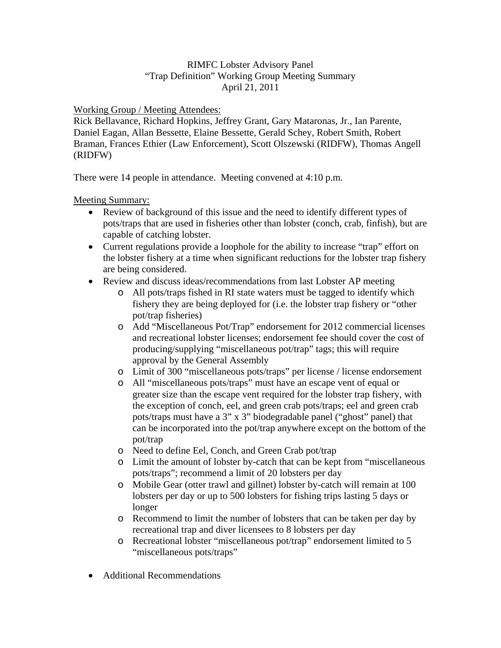# RIMFC Lobster Advisory Panel "Trap Definition" Working Group Meeting Summary April 21, 2011

Working Group / Meeting Attendees:

Rick Bellavance, Richard Hopkins, Jeffrey Grant, Gary Mataronas, Jr., Ian Parente, Daniel Eagan, Allan Bessette, Elaine Bessette, Gerald Schey, Robert Smith, Robert Braman, Frances Ethier (Law Enforcement), Scott Olszewski (RIDFW), Thomas Angell (RIDFW)

There were 14 people in attendance. Meeting convened at 4:10 p.m.

Meeting Summary:

- Review of background of this issue and the need to identify different types of pots/traps that are used in fisheries other than lobster (conch, crab, finfish), but are capable of catching lobster.
- Current regulations provide a loophole for the ability to increase "trap" effort on the lobster fishery at a time when significant reductions for the lobster trap fishery are being considered.
- Review and discuss ideas/recommendations from last Lobster AP meeting
	- o All pots/traps fished in RI state waters must be tagged to identify which fishery they are being deployed for (i.e. the lobster trap fishery or "other pot/trap fisheries)
	- o Add "Miscellaneous Pot/Trap" endorsement for 2012 commercial licenses and recreational lobster licenses; endorsement fee should cover the cost of producing/supplying "miscellaneous pot/trap" tags; this will require approval by the General Assembly
	- o Limit of 300 "miscellaneous pots/traps" per license / license endorsement
	- o All "miscellaneous pots/traps" must have an escape vent of equal or greater size than the escape vent required for the lobster trap fishery, with the exception of conch, eel, and green crab pots/traps; eel and green crab pots/traps must have a 3" x 3" biodegradable panel ("ghost" panel) that can be incorporated into the pot/trap anywhere except on the bottom of the pot/trap
	- o Need to define Eel, Conch, and Green Crab pot/trap
	- o Limit the amount of lobster by-catch that can be kept from "miscellaneous pots/traps"; recommend a limit of 20 lobsters per day
	- o Mobile Gear (otter trawl and gillnet) lobster by-catch will remain at 100 lobsters per day or up to 500 lobsters for fishing trips lasting 5 days or longer
	- o Recommend to limit the number of lobsters that can be taken per day by recreational trap and diver licensees to 8 lobsters per day
	- o Recreational lobster "miscellaneous pot/trap" endorsement limited to 5 "miscellaneous pots/traps"
- Additional Recommendations